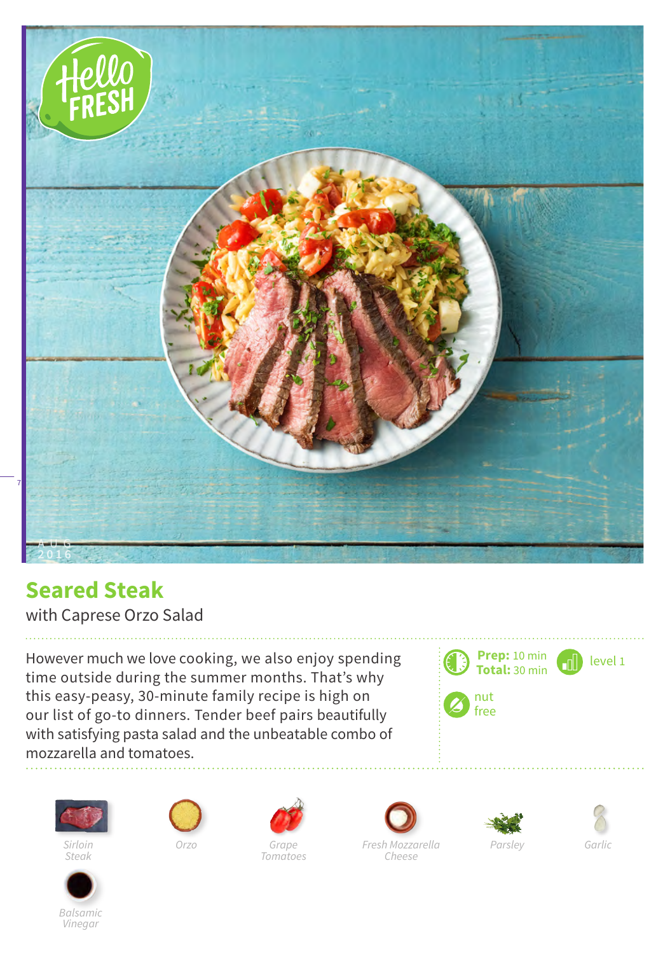

## **Seared Steak**

with Caprese Orzo Salad

However much we love cooking, we also enjoy spending time outside during the summer months. That's why this easy-peasy, 30-minute family recipe is high on our list of go-to dinners. Tender beef pairs beautifully with satisfying pasta salad and the unbeatable combo of mozzarella and tomatoes.





*Sirloin Orzo Steak*



*Balsamic Vinegar*



*Tomatoes*







*Cheese*